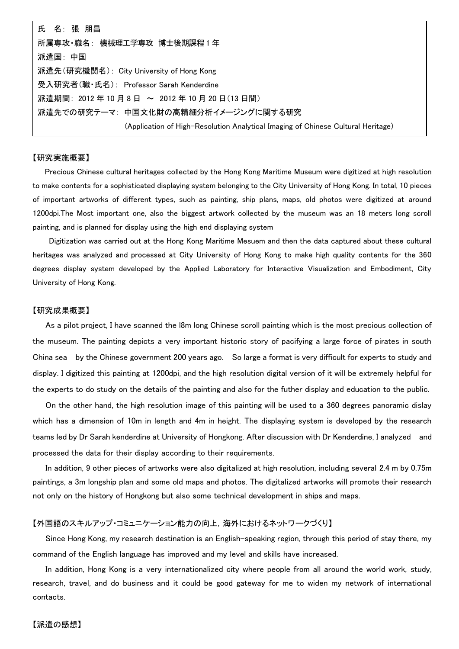| 氏 名: 張 朋昌                                                                        |
|----------------------------------------------------------------------------------|
| 所属専攻·職名: 機械理工学専攻 博士後期課程1年                                                        |
| 派遣国:中国                                                                           |
| 派遣先(研究機関名):City University of Hong Kong                                          |
| 受入研究者(職・氏名): Professor Sarah Kenderdine                                          |
| 派遣期間:2012年10月8日 ~ 2012年10月20日(13日間)                                              |
| 派遣先での研究テーマ: 中国文化財の高精細分析イメージングに関する研究                                              |
| (Application of High-Resolution Analytical Imaging of Chinese Cultural Heritage) |

## 【研究実施概要】

Precious Chinese cultural heritages collected by the Hong Kong Maritime Museum were digitized at high resolution to make contents for a sophisticated displaying system belonging to the City University of Hong Kong. In total, 10 pieces of important artworks of different types, such as painting, ship plans, maps, old photos were digitized at around 1200dpi.The Most important one, also the biggest artwork collected by the museum was an 18 meters long scroll painting, and is planned for display using the high end displaying system

 Digitization was carried out at the Hong Kong Maritime Mesuem and then the data captured about these cultural heritages was analyzed and processed at City University of Hong Kong to make high quality contents for the 360 degrees display system developed by the Applied Laboratory for Interactive Visualization and Embodiment, City University of Hong Kong.

## 【研究成果概要】

As a pilot project, I have scanned the l8m long Chinese scroll painting which is the most precious collection of the museum. The painting depicts a very important historic story of pacifying a large force of pirates in south China sea by the Chinese government 200 years ago. So large a format is very difficult for experts to study and display. I digitized this painting at 1200dpi, and the high resolution digital version of it will be extremely helpful for the experts to do study on the details of the painting and also for the futher display and education to the public.

 On the other hand, the high resolution image of this painting will be used to a 360 degrees panoramic dislay which has a dimension of 10m in length and 4m in height. The displaying system is developed by the research teams led by Dr Sarah kenderdine at University of Hongkong. After discussion with Dr Kenderdine, I analyzed and processed the data for their display according to their requirements.

In addition, 9 other pieces of artworks were also digitalized at high resolution, including several 2.4 m by 0.75m paintings, a 3m longship plan and some old maps and photos. The digitalized artworks will promote their research not only on the history of Hongkong but also some technical development in ships and maps.

## 【外国語のスキルアップ・コミュニケーション能力の向上,海外におけるネットワークづくり】

Since Hong Kong, my research destination is an English-speaking region, through this period of stay there, my command of the English language has improved and my level and skills have increased.

In addition, Hong Kong is a very internationalized city where people from all around the world work, study, research, travel, and do business and it could be good gateway for me to widen my network of international contacts.